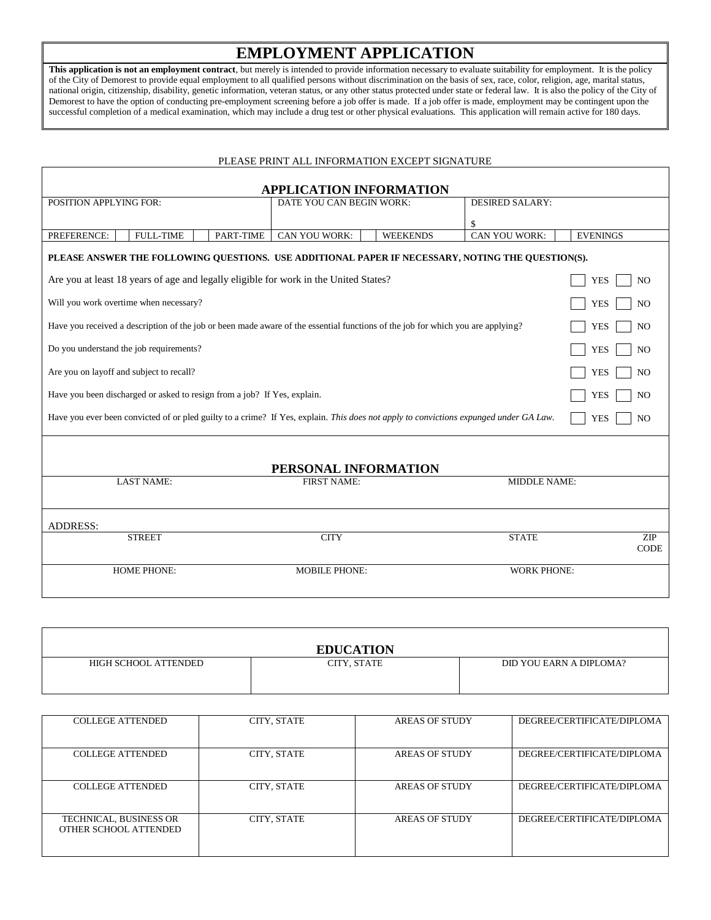## **EMPLOYMENT APPLICATION**

**This application is not an employment contract**, but merely is intended to provide information necessary to evaluate suitability for employment. It is the policy of the City of Demorest to provide equal employment to all qualified persons without discrimination on the basis of sex, race, color, religion, age, marital status, national origin, citizenship, disability, genetic information, veteran status, or any other status protected under state or federal law. It is also the policy of the City of Demorest to have the option of conducting pre-employment screening before a job offer is made. If a job offer is made, employment may be contingent upon the successful completion of a medical examination, which may include a drug test or other physical evaluations. This application will remain active for 180 days.

## PLEASE PRINT ALL INFORMATION EXCEPT SIGNATURE

| <b>APPLICATION INFORMATION</b>                                                                                                                                        |                                  |                        |                              |  |
|-----------------------------------------------------------------------------------------------------------------------------------------------------------------------|----------------------------------|------------------------|------------------------------|--|
| POSITION APPLYING FOR:                                                                                                                                                | DATE YOU CAN BEGIN WORK:         | <b>DESIRED SALARY:</b> |                              |  |
|                                                                                                                                                                       |                                  | $\mathbf{\$}$          |                              |  |
| PREFERENCE:<br><b>FULL-TIME</b><br>PART-TIME                                                                                                                          | CAN YOU WORK:<br><b>WEEKENDS</b> | CAN YOU WORK:          | <b>EVENINGS</b>              |  |
| PLEASE ANSWER THE FOLLOWING QUESTIONS. USE ADDITIONAL PAPER IF NECESSARY, NOTING THE QUESTION(S).                                                                     |                                  |                        |                              |  |
| Are you at least 18 years of age and legally eligible for work in the United States?                                                                                  |                                  |                        | <b>YES</b><br>N <sub>O</sub> |  |
| Will you work overtime when necessary?                                                                                                                                |                                  |                        | N <sub>O</sub><br><b>YES</b> |  |
| Have you received a description of the job or been made aware of the essential functions of the job for which you are applying?                                       |                                  |                        | <b>YES</b><br>N <sub>O</sub> |  |
| Do you understand the job requirements?                                                                                                                               |                                  |                        | N <sub>O</sub><br><b>YES</b> |  |
| Are you on layoff and subject to recall?<br><b>YES</b>                                                                                                                |                                  |                        |                              |  |
| Have you been discharged or asked to resign from a job? If Yes, explain.                                                                                              |                                  |                        | N <sub>O</sub><br><b>YES</b> |  |
| Have you ever been convicted of or pled guilty to a crime? If Yes, explain. This does not apply to convictions expunged under GA Law.<br>N <sub>O</sub><br><b>YES</b> |                                  |                        |                              |  |
|                                                                                                                                                                       |                                  |                        |                              |  |
|                                                                                                                                                                       | PERSONAL INFORMATION             |                        |                              |  |
| <b>LAST NAME:</b>                                                                                                                                                     | <b>FIRST NAME:</b>               | <b>MIDDLE NAME:</b>    |                              |  |
| <b>ADDRESS:</b>                                                                                                                                                       |                                  |                        |                              |  |
| <b>STREET</b>                                                                                                                                                         | <b>CITY</b>                      | <b>STATE</b>           | ZIP<br><b>CODE</b>           |  |
| <b>HOME PHONE:</b>                                                                                                                                                    | <b>MOBILE PHONE:</b>             | <b>WORK PHONE:</b>     |                              |  |

| <b>EDUCATION</b>     |             |                         |  |  |
|----------------------|-------------|-------------------------|--|--|
| HIGH SCHOOL ATTENDED | CITY, STATE | DID YOU EARN A DIPLOMA? |  |  |
|                      |             |                         |  |  |

| <b>COLLEGE ATTENDED</b>                         | CITY, STATE | <b>AREAS OF STUDY</b> | DEGREE/CERTIFICATE/DIPLOMA |
|-------------------------------------------------|-------------|-----------------------|----------------------------|
| <b>COLLEGE ATTENDED</b>                         | CITY, STATE | AREAS OF STUDY        | DEGREE/CERTIFICATE/DIPLOMA |
| <b>COLLEGE ATTENDED</b>                         | CITY, STATE | <b>AREAS OF STUDY</b> | DEGREE/CERTIFICATE/DIPLOMA |
| TECHNICAL, BUSINESS OR<br>OTHER SCHOOL ATTENDED | CITY, STATE | <b>AREAS OF STUDY</b> | DEGREE/CERTIFICATE/DIPLOMA |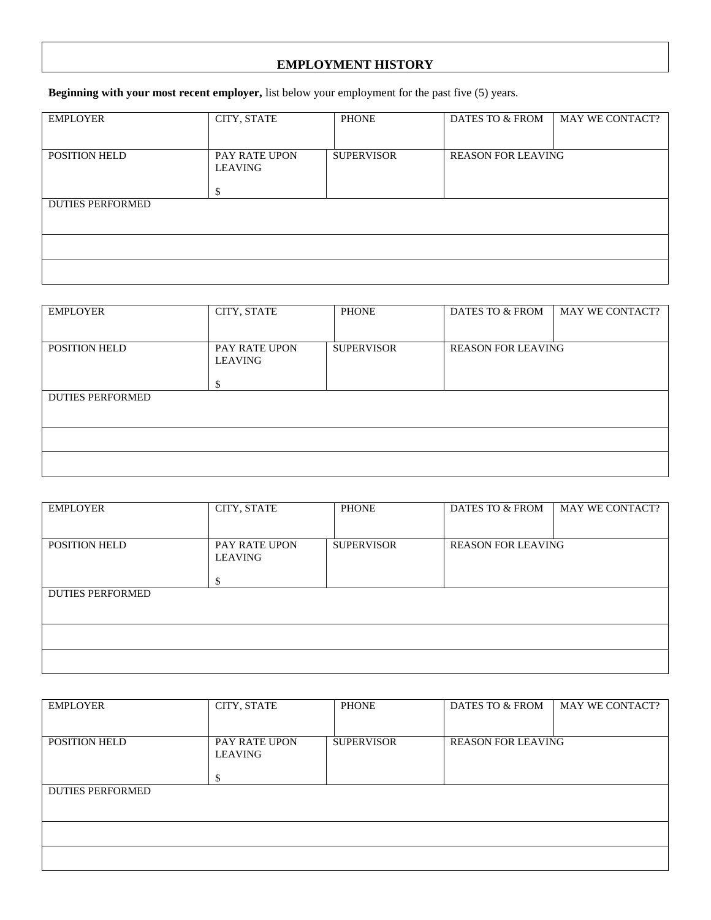## **EMPLOYMENT HISTORY**

**Beginning with your most recent employer,** list below your employment for the past five (5) years.

| <b>EMPLOYER</b>         | CITY, STATE   | <b>PHONE</b>      | DATES TO & FROM           | MAY WE CONTACT? |
|-------------------------|---------------|-------------------|---------------------------|-----------------|
|                         |               |                   |                           |                 |
| POSITION HELD           | PAY RATE UPON | <b>SUPERVISOR</b> | <b>REASON FOR LEAVING</b> |                 |
|                         | LEAVING       |                   |                           |                 |
|                         | ¢<br>л.       |                   |                           |                 |
| <b>DUTIES PERFORMED</b> |               |                   |                           |                 |
|                         |               |                   |                           |                 |
|                         |               |                   |                           |                 |
|                         |               |                   |                           |                 |
|                         |               |                   |                           |                 |

| <b>EMPLOYER</b>         | CITY, STATE              | <b>PHONE</b>      | DATES TO & FROM           | MAY WE CONTACT? |
|-------------------------|--------------------------|-------------------|---------------------------|-----------------|
|                         |                          |                   |                           |                 |
| <b>POSITION HELD</b>    | PAY RATE UPON<br>LEAVING | <b>SUPERVISOR</b> | <b>REASON FOR LEAVING</b> |                 |
|                         | ъ                        |                   |                           |                 |
| <b>DUTIES PERFORMED</b> |                          |                   |                           |                 |
|                         |                          |                   |                           |                 |
|                         |                          |                   |                           |                 |
|                         |                          |                   |                           |                 |

| <b>EMPLOYER</b>         | CITY, STATE                     | <b>PHONE</b>      | DATES TO & FROM           | MAY WE CONTACT? |
|-------------------------|---------------------------------|-------------------|---------------------------|-----------------|
| <b>POSITION HELD</b>    | PAY RATE UPON<br>LEAVING<br>۰٦. | <b>SUPERVISOR</b> | <b>REASON FOR LEAVING</b> |                 |
| <b>DUTIES PERFORMED</b> |                                 |                   |                           |                 |
|                         |                                 |                   |                           |                 |
|                         |                                 |                   |                           |                 |

| <b>EMPLOYER</b>         | CITY, STATE              | <b>PHONE</b>      | DATES TO & FROM           | <b>MAY WE CONTACT?</b> |
|-------------------------|--------------------------|-------------------|---------------------------|------------------------|
| POSITION HELD           | PAY RATE UPON<br>LEAVING | <b>SUPERVISOR</b> | <b>REASON FOR LEAVING</b> |                        |
| <b>DUTIES PERFORMED</b> |                          |                   |                           |                        |
|                         |                          |                   |                           |                        |
|                         |                          |                   |                           |                        |